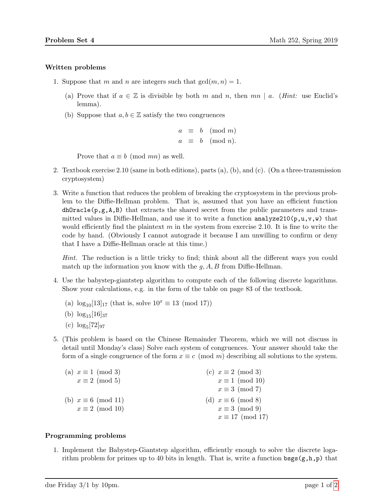## Written problems

- 1. Suppose that m and n are integers such that  $gcd(m, n) = 1$ .
	- (a) Prove that if  $a \in \mathbb{Z}$  is divisible by both m and n, then mn | a. (Hint: use Euclid's lemma).
	- (b) Suppose that  $a, b \in \mathbb{Z}$  satisfy the two congruences

$$
a \equiv b \pmod{m}
$$
  

$$
a \equiv b \pmod{n}.
$$

Prove that  $a \equiv b \pmod{mn}$  as well.

- 2. Textbook exercise 2.10 (same in both editions), parts (a), (b), and (c). (On a three-transmission cryptosystem)
- 3. Write a function that reduces the problem of breaking the cryptosystem in the previous problem to the Diffie-Hellman problem. That is, assumed that you have an efficient function  $dhOracle(p,g,A,B)$  that extracts the shared secret from the public parameters and transmitted values in Diffie-Hellman, and use it to write a function analyze210 $(p, u, v, w)$  that would efficiently find the plaintext  $m$  in the system from exercise 2.10. It is fine to write the code by hand. (Obviously I cannot autograde it because I am unwilling to confirm or deny that I have a Diffie-Hellman oracle at this time.)

Hint. The reduction is a little tricky to find; think about all the different ways you could match up the information you know with the  $g, A, B$  from Diffie-Hellman.

- 4. Use the babystep-giantstep algorithm to compute each of the following discrete logarithms. Show your calculations, e.g. in the form of the table on page 83 of the textbook.
	- (a)  $\log_{10}[13]_{17}$  (that is, solve  $10^x \equiv 13 \pmod{17}$ )
	- (b)  $\log_{15}[16]_{37}$
	- $(c) \log_5[72]_{97}$
- 5. (This problem is based on the Chinese Remainder Theorem, which we will not discuss in detail until Monday's class) Solve each system of congruences. Your answer should take the form of a single congruence of the form  $x \equiv c \pmod{m}$  describing all solutions to the system.

| (a) $x \equiv 1 \pmod{3}$  | (c) $x \equiv 2 \pmod{3}$ |
|----------------------------|---------------------------|
| $x \equiv 2 \pmod{5}$      | $x \equiv 1 \pmod{10}$    |
|                            | $x \equiv 3 \pmod{7}$     |
| (b) $x \equiv 6 \pmod{11}$ | (d) $x \equiv 6 \pmod{8}$ |
| $x \equiv 2 \pmod{10}$     | $x \equiv 3 \pmod{9}$     |
|                            | $x \equiv 17 \pmod{17}$   |

## Programming problems

1. Implement the Babystep-Giantstep algorithm, efficiently enough to solve the discrete logarithm problem for primes up to 40 bits in length. That is, write a function  $\text{bgg}(g,h,p)$  that